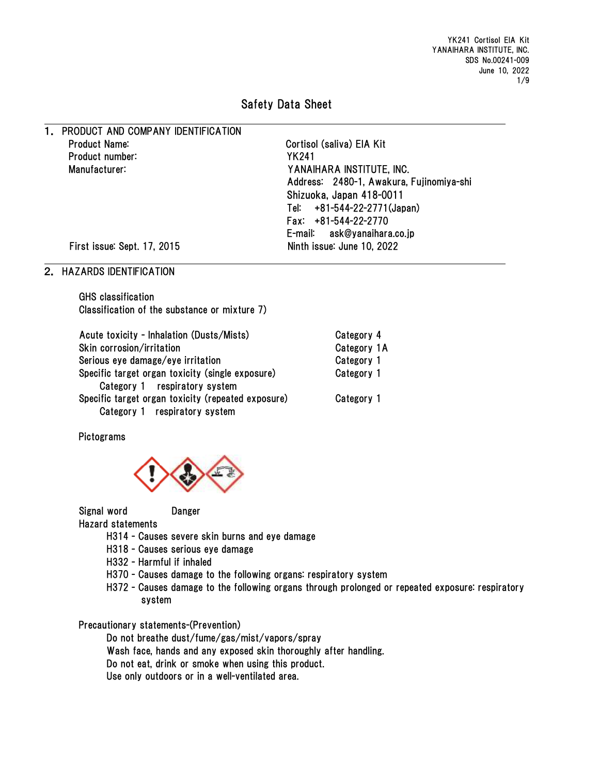YK241 Cortisol EIA Kit YANAIHARA INSTITUTE, INC. SDS No.00241-009 June 10, 2022 1/9

## Safety Data Sheet

1. PRODUCT AND COMPANY IDENTIFICATION Product Name: Cortisol (saliva) EIA Kit Product number: YK241 Manufacturer: YANAIHARA INSTITUTE, INC. Address: 2480-1, Awakura, Fujinomiya-shi Shizuoka, Japan 418-0011 Tel: +81-544-22-2771(Japan) Fax: +81-544-22-2770 E-mail: ask@yanaihara.co.jp First issue: Sept. 17, 2015 Ninth issue: June 10, 2022

## 2. HAZARDS IDENTIFICATION

GHS classification Classification of the substance or mixture 7)

| Acute toxicity - Inhalation (Dusts/Mists)          | Category 4  |
|----------------------------------------------------|-------------|
| Skin corrosion/irritation                          | Category 1A |
| Serious eye damage/eye irritation                  | Category 1  |
| Specific target organ toxicity (single exposure)   | Category 1  |
| Category 1 respiratory system                      |             |
| Specific target organ toxicity (repeated exposure) | Category 1  |
| Category 1 respiratory system                      |             |

Pictograms



Signal word Danger

Hazard statements

- H314 Causes severe skin burns and eye damage
- H318 Causes serious eye damage
- H332 Harmful if inhaled
- H370 Causes damage to the following organs: respiratory system
- H372 Causes damage to the following organs through prolonged or repeated exposure: respiratory system

Precautionary statements-(Prevention)

Do not breathe dust/fume/gas/mist/vapors/spray

Wash face, hands and any exposed skin thoroughly after handling.

Do not eat, drink or smoke when using this product.

Use only outdoors or in a well-ventilated area.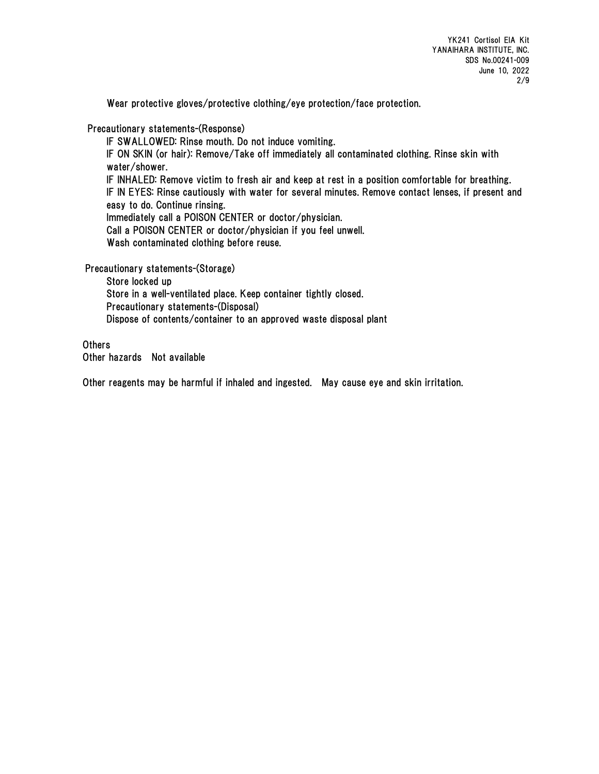Wear protective gloves/protective clothing/eye protection/face protection.

Precautionary statements-(Response)

IF SWALLOWED: Rinse mouth. Do not induce vomiting. IF ON SKIN (or hair): Remove/Take off immediately all contaminated clothing. Rinse skin with water/shower. IF INHALED: Remove victim to fresh air and keep at rest in a position comfortable for breathing. IF IN EYES: Rinse cautiously with water for several minutes. Remove contact lenses, if present and easy to do. Continue rinsing. Immediately call a POISON CENTER or doctor/physician. Call a POISON CENTER or doctor/physician if you feel unwell. Wash contaminated clothing before reuse.

Precautionary statements-(Storage)

Store locked up Store in a well-ventilated place. Keep container tightly closed. Precautionary statements-(Disposal) Dispose of contents/container to an approved waste disposal plant

**Others** Other hazards Not available

Other reagents may be harmful if inhaled and ingested. May cause eye and skin irritation.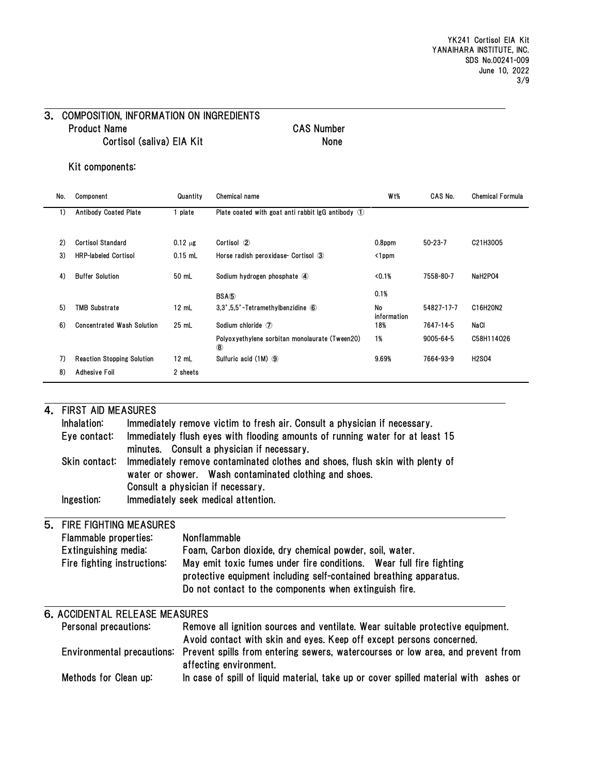### 3. COMPOSITION, INFORMATION ON INGREDIENTS Product Name CAS Number Cortisol (saliva) EIA Kit None

#### Kit components:

| No. | Component                         | Quantity        | Chemical name                                                   | W <sub>t</sub> %  | CAS No.       | <b>Chemical Formula</b> |
|-----|-----------------------------------|-----------------|-----------------------------------------------------------------|-------------------|---------------|-------------------------|
| 1)  | <b>Antibody Coated Plate</b>      | plate           | Plate coated with goat anti rabbit $\lg G$ antibody $\circ$     |                   |               |                         |
|     |                                   |                 |                                                                 |                   |               |                         |
| 2)  | <b>Cortisol Standard</b>          | $0.12 \mu g$    | Cortisol 2                                                      | $0.8$ ppm         | $50 - 23 - 7$ | C21H3005                |
| 3)  | <b>HRP-labeled Cortisol</b>       | $0.15$ mL       | Horse radish peroxidase- Cortisol 3                             | $\langle$ 1ppm    |               |                         |
| 4)  | <b>Buffer Solution</b>            | 50 mL           | Sodium hydrogen phosphate 4                                     | <0.1%             | 7558-80-7     | NaH2PO4                 |
|     |                                   |                 | BSA <sub>5</sub>                                                | 0.1%              |               |                         |
| 5)  | <b>TMB Substrate</b>              | $12 \text{ mL}$ | $3.3'$ , $5.5'$ -Tetramethylbenzidine $\odot$                   | No<br>information | 54827-17-7    | C16H20N2                |
| 6)  | <b>Concentrated Wash Solution</b> | 25 mL           | Sodium chloride $\mathcal{D}$                                   | 18%               | 7647-14-5     | NaCl                    |
|     |                                   |                 | Polyoxyethylene sorbitan monolaurate (Tween20)<br>$\circledast$ | 1%                | 9005-64-5     | C58H114O26              |
| 7)  | <b>Reaction Stopping Solution</b> | $12 \text{ mL}$ | Sulfuric acid (1M) 9                                            | 9.69%             | 7664-93-9     | <b>H2SO4</b>            |
| 8)  | Adhesive Foil                     | 2 sheets        |                                                                 |                   |               |                         |

| 4.                                                |                                                                              | <b>FIRST AID MEASURES</b> |                                                                                                                                |  |  |  |  |
|---------------------------------------------------|------------------------------------------------------------------------------|---------------------------|--------------------------------------------------------------------------------------------------------------------------------|--|--|--|--|
|                                                   | Inhalation:                                                                  |                           | Immediately remove victim to fresh air. Consult a physician if necessary.                                                      |  |  |  |  |
|                                                   | Eye contact:                                                                 |                           | Immediately flush eyes with flooding amounts of running water for at least 15                                                  |  |  |  |  |
|                                                   |                                                                              |                           | minutes. Consult a physician if necessary.                                                                                     |  |  |  |  |
|                                                   | Skin contact:                                                                |                           | Immediately remove contaminated clothes and shoes, flush skin with plenty of                                                   |  |  |  |  |
|                                                   |                                                                              |                           | water or shower. Wash contaminated clothing and shoes.                                                                         |  |  |  |  |
|                                                   |                                                                              |                           | Consult a physician if necessary.                                                                                              |  |  |  |  |
| Ingestion:<br>Immediately seek medical attention. |                                                                              |                           |                                                                                                                                |  |  |  |  |
|                                                   |                                                                              |                           |                                                                                                                                |  |  |  |  |
| 5.                                                | <b>FIRE FIGHTING MEASURES</b>                                                |                           |                                                                                                                                |  |  |  |  |
|                                                   | Flammable properties:<br>Extinguishing media:<br>Fire fighting instructions: |                           | Nonflammable                                                                                                                   |  |  |  |  |
|                                                   |                                                                              |                           | Foam, Carbon dioxide, dry chemical powder, soil, water.<br>May emit toxic fumes under fire conditions. Wear full fire fighting |  |  |  |  |
|                                                   |                                                                              |                           |                                                                                                                                |  |  |  |  |
|                                                   |                                                                              |                           | protective equipment including self-contained breathing apparatus.                                                             |  |  |  |  |
|                                                   |                                                                              |                           | Do not contact to the components when extinguish fire.                                                                         |  |  |  |  |
|                                                   | <b>6. ACCIDENTAL RELEASE MEASURES</b>                                        |                           |                                                                                                                                |  |  |  |  |
|                                                   | Personal precautions:                                                        |                           | Remove all ignition sources and ventilate. Wear suitable protective equipment.                                                 |  |  |  |  |
|                                                   |                                                                              |                           | Avoid contact with skin and eyes. Keep off except persons concerned.                                                           |  |  |  |  |
|                                                   |                                                                              |                           | Environmental precautions: Prevent spills from entering sewers, watercourses or low area, and prevent from                     |  |  |  |  |
|                                                   |                                                                              |                           | affecting environment.                                                                                                         |  |  |  |  |
|                                                   | Methods for Clean up:                                                        |                           | In case of spill of liquid material, take up or cover spilled material with ashes or                                           |  |  |  |  |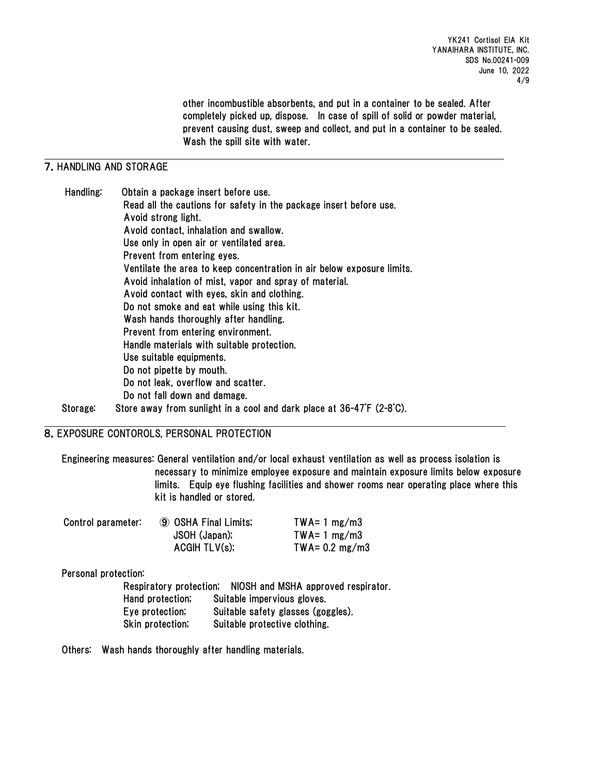other incombustible absorbents, and put in a container to be sealed. After completely picked up, dispose. In case of spill of solid or powder material, prevent causing dust, sweep and collect, and put in a container to be sealed. Wash the spill site with water.

## 7.HANDLING AND STORAGE

Handling: Obtain a package insert before use. Read all the cautions for safety in the package insert before use. Avoid strong light. Avoid contact, inhalation and swallow. Use only in open air or ventilated area. Prevent from entering eyes. Ventilate the area to keep concentration in air below exposure limits. Avoid inhalation of mist, vapor and spray of material. Avoid contact with eyes, skin and clothing. Do not smoke and eat while using this kit. Wash hands thoroughly after handling. Prevent from entering environment. Handle materials with suitable protection. Use suitable equipments. Do not pipette by mouth. Do not leak, overflow and scatter. Do not fall down and damage. Storage: Store away from sunlight in a cool and dark place at 36-47゚F (2-8゚C).

### 8.EXPOSURE CONTOROLS, PERSONAL PROTECTION

Engineering measures: General ventilation and/or local exhaust ventilation as well as process isolation is necessary to minimize employee exposure and maintain exposure limits below exposure limits. Equip eye flushing facilities and shower rooms near operating place where this kit is handled or stored.

| Control parameter: | <b>9 OSHA Final Limits;</b> | $TWA = 1 mg/m3$          |
|--------------------|-----------------------------|--------------------------|
|                    | JSOH (Japan);               | $TWA = 1 mg/m3$          |
|                    | ACGHTLV(s);                 | TWA= $0.2 \text{ mg/m3}$ |

### Personal protection:

Respiratory protection; NIOSH and MSHA approved respirator. Hand protection; Suitable impervious gloves. Eye protection; Suitable safety glasses (goggles). Skin protection; Suitable protective clothing.

Others: Wash hands thoroughly after handling materials.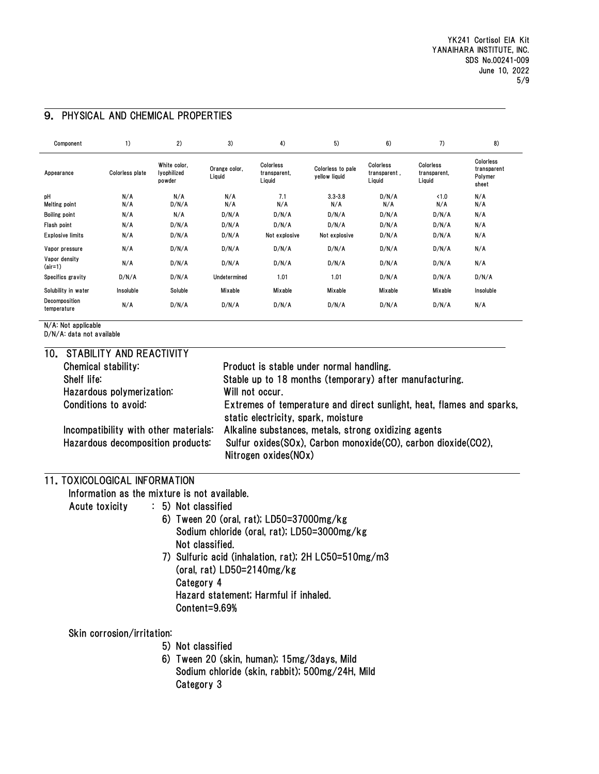| Component                    | 1)              | 2)                                    | 3)                      | 4)                                  | 5)                                 | 6)                                  | 7)                                  | 8)                                           |
|------------------------------|-----------------|---------------------------------------|-------------------------|-------------------------------------|------------------------------------|-------------------------------------|-------------------------------------|----------------------------------------------|
| Appearance                   | Colorless plate | White color,<br>lyophilized<br>powder | Orange color,<br>Liquid | Colorless<br>transparent,<br>Liquid | Colorless to pale<br>yellow liquid | Colorless<br>transparent,<br>Liquid | Colorless<br>transparent,<br>Liquid | Colorless<br>transparent<br>Polymer<br>sheet |
| pH<br>Melting point          | N/A<br>N/A      | N/A<br>D/N/A                          | N/A<br>N/A              | 7.1<br>N/A                          | $3.3 - 3.8$<br>N/A                 | D/N/A<br>N/A                        | < 1.0<br>N/A                        | N/A<br>N/A                                   |
| <b>Boiling point</b>         | N/A             | N/A                                   | D/N/A                   | D/N/A                               | D/N/A                              | D/N/A                               | D/N/A                               | N/A                                          |
| Flash point                  | N/A             | D/N/A                                 | D/N/A                   | D/N/A                               | D/N/A                              | D/N/A                               | D/N/A                               | N/A                                          |
| <b>Explosive limits</b>      | N/A             | D/N/A                                 | D/N/A                   | Not explosive                       | Not explosive                      | D/N/A                               | D/N/A                               | N/A                                          |
| Vapor pressure               | N/A             | D/N/A                                 | D/N/A                   | D/N/A                               | D/N/A                              | D/N/A                               | D/N/A                               | N/A                                          |
| Vapor density<br>$(air=1)$   | N/A             | D/N/A                                 | D/N/A                   | D/N/A                               | D/N/A                              | D/N/A                               | D/N/A                               | N/A                                          |
| Specifics gravity            | D/N/A           | D/N/A                                 | Undetermined            | 1.01                                | 1.01                               | D/N/A                               | D/N/A                               | D/N/A                                        |
| Solubility in water          | Insoluble       | Soluble                               | Mixable                 | Mixable                             | Mixable                            | Mixable                             | Mixable                             | Insoluble                                    |
| Decomposition<br>temperature | N/A             | D/N/A                                 | D/N/A                   | D/N/A                               | D/N/A                              | D/N/A                               | D/N/A                               | N/A                                          |

# 9. PHYSICAL AND CHEMICAL PROPERTIES

N/A: Not applicable

D/N/A: data not available

| 10. STABILITY AND REACTIVITY          |                                                                                                              |
|---------------------------------------|--------------------------------------------------------------------------------------------------------------|
| Chemical stability:                   | Product is stable under normal handling.                                                                     |
| Shelf life:                           | Stable up to 18 months (temporary) after manufacturing.                                                      |
| Hazardous polymerization:             | Will not occur.                                                                                              |
| Conditions to avoid:                  | Extremes of temperature and direct sunlight, heat, flames and sparks,<br>static electricity, spark, moisture |
| Incompatibility with other materials: | Alkaline substances, metals, strong oxidizing agents                                                         |
| Hazardous decomposition products:     | Sulfur oxides(SOx), Carbon monoxide(CO), carbon dioxide(CO2),                                                |
|                                       | Nitrogen oxides(NOx)                                                                                         |
|                                       |                                                                                                              |

## 11.TOXICOLOGICAL INFORMATION

Information as the mixture is not available.

Acute toxicity : 5) Not classified

- 6) Tween 20 (oral, rat); LD50=37000mg/kg Sodium chloride (oral, rat); LD50=3000mg/kg Not classified.
- 7) Sulfuric acid (inhalation, rat); 2H LC50=510mg/m3 (oral, rat) LD50=2140mg/kg Category 4 Hazard statement; Harmful if inhaled. Content=9.69%

Skin corrosion/irritation:

- 5) Not classified
- 6) Tween 20 (skin, human); 15mg/3days, Mild Sodium chloride (skin, rabbit); 500mg/24H, Mild Category 3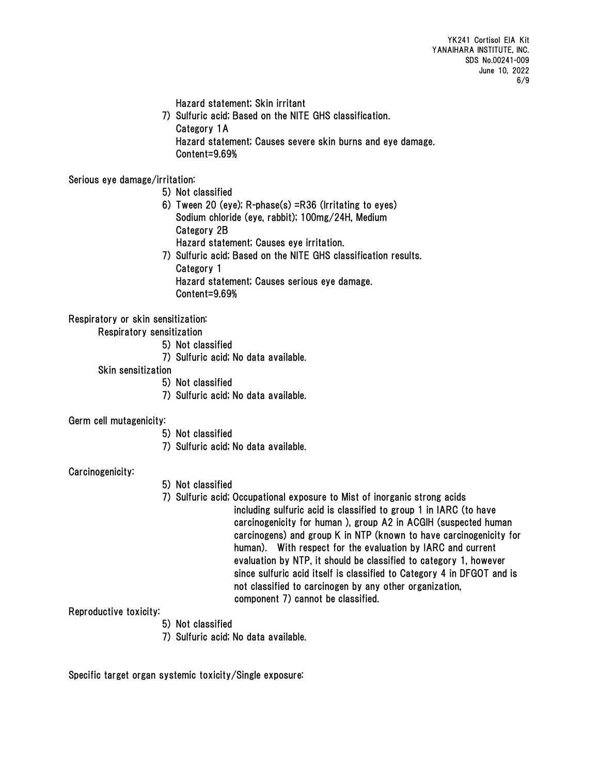Hazard statement; Skin irritant

 7) Sulfuric acid; Based on the NITE GHS classification. Category 1A Hazard statement; Causes severe skin burns and eye damage. Content=9.69%

Serious eye damage/irritation:

- 5) Not classified
- 6) Tween 20 (eye); R-phase(s) =R36 (Irritating to eyes) Sodium chloride (eye, rabbit); 100mg/24H, Medium Category 2B Hazard statement; Causes eye irritation.
- 7) Sulfuric acid; Based on the NITE GHS classification results. Category 1 Hazard statement; Causes serious eye damage. Content=9.69%

Respiratory or skin sensitization:

Respiratory sensitization

- 5) Not classified
- 7) Sulfuric acid; No data available.
- Skin sensitization
	- 5) Not classified
	- 7) Sulfuric acid; No data available.

Germ cell mutagenicity:

- 5) Not classified
- 7) Sulfuric acid; No data available.

Carcinogenicity:

- 5) Not classified
- 7) Sulfuric acid; Occupational exposure to Mist of inorganic strong acids including sulfuric acid is classified to group 1 in IARC (to have carcinogenicity for human ), group A2 in ACGIH (suspected human carcinogens) and group K in NTP (known to have carcinogenicity for human). With respect for the evaluation by IARC and current evaluation by NTP, it should be classified to category 1, however since sulfuric acid itself is classified to Category 4 in DFGOT and is not classified to carcinogen by any other organization, component 7) cannot be classified.

Reproductive toxicity:

- 5) Not classified
- 7) Sulfuric acid; No data available.

Specific target organ systemic toxicity/Single exposure: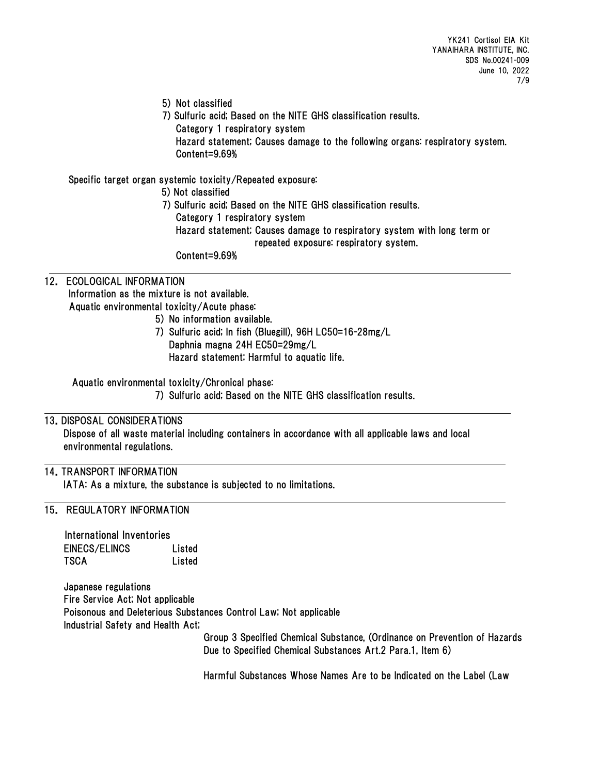- 5) Not classified
- 7) Sulfuric acid; Based on the NITE GHS classification results.

Category 1 respiratory system

 Hazard statement; Causes damage to the following organs: respiratory system. Content=9.69%

Specific target organ systemic toxicity/Repeated exposure:

5) Not classified

7) Sulfuric acid; Based on the NITE GHS classification results. Category 1 respiratory system Hazard statement; Causes damage to respiratory system with long term or repeated exposure: respiratory system. Content=9.69%

## 12. ECOLOGICAL INFORMATION Information as the mixture is not available. Aquatic environmental toxicity/Acute phase:

- 5) No information available.
- 7) Sulfuric acid; In fish (Bluegill), 96H LC50=16-28mg/L Daphnia magna 24H EC50=29mg/L Hazard statement; Harmful to aquatic life.

Aquatic environmental toxicity/Chronical phase:

7) Sulfuric acid; Based on the NITE GHS classification results.

## 13.DISPOSAL CONSIDERATIONS

Dispose of all waste material including containers in accordance with all applicable laws and local environmental regulations.

### 14.TRANSPORT INFORMATION

IATA: As a mixture, the substance is subjected to no limitations.

### 15. REGULATORY INFORMATION

| International Inventories |        |
|---------------------------|--------|
| EINECS/ELINCS             | Listed |
| TSCA                      | Listed |

Japanese regulations Fire Service Act; Not applicable Poisonous and Deleterious Substances Control Law; Not applicable Industrial Safety and Health Act;

Group 3 Specified Chemical Substance, (Ordinance on Prevention of Hazards Due to Specified Chemical Substances Art.2 Para.1, Item 6)

Harmful Substances Whose Names Are to be Indicated on the Label (Law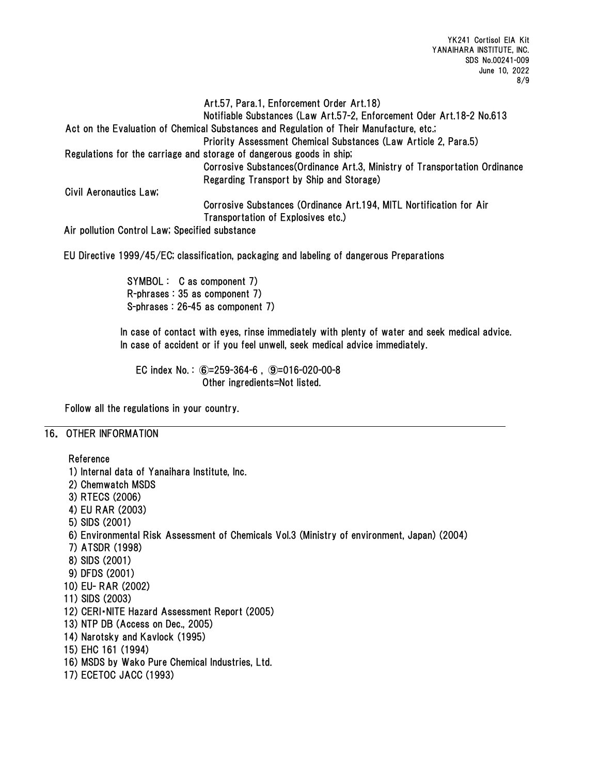Art.57, Para.1, Enforcement Order Art.18) Notifiable Substances (Law Art.57-2, Enforcement Oder Art.18-2 No.613 Act on the Evaluation of Chemical Substances and Regulation of Their Manufacture, etc.; Priority Assessment Chemical Substances (Law Article 2, Para.5) Regulations for the carriage and storage of dangerous goods in ship; Corrosive Substances(Ordinance Art.3, Ministry of Transportation Ordinance Regarding Transport by Ship and Storage) Civil Aeronautics Law; Corrosive Substances (Ordinance Art.194, MITL Nortification for Air Transportation of Explosives etc.) Air pollution Control Law; Specified substance

EU Directive 1999/45/EC; classification, packaging and labeling of dangerous Preparations

SYMBOL : C as component 7) R-phrases : 35 as component 7) S-phrases : 26-45 as component 7)

In case of contact with eyes, rinse immediately with plenty of water and seek medical advice. In case of accident or if you feel unwell, seek medical advice immediately.

EC index No. : ⑥=259-364-6 , ⑨=016-020-00-8 Other ingredients=Not listed.

Follow all the regulations in your country.

### 16. OTHER INFORMATION

Reference 1) Internal data of Yanaihara Institute, Inc. 2) Chemwatch MSDS 3) RTECS (2006) 4) EU RAR (2003) 5) SIDS (2001) 6) Environmental Risk Assessment of Chemicals Vol.3 (Ministry of environment, Japan) (2004) 7) ATSDR (1998) 8) SIDS (2001) 9) DFDS (2001) 10) EU- RAR (2002) 11) SIDS (2003) 12) CERI・NITE Hazard Assessment Report (2005) 13) NTP DB (Access on Dec., 2005) 14) Narotsky and Kavlock (1995) 15) EHC 161 (1994) 16) MSDS by Wako Pure Chemical Industries, Ltd. 17) ECETOC JACC (1993)